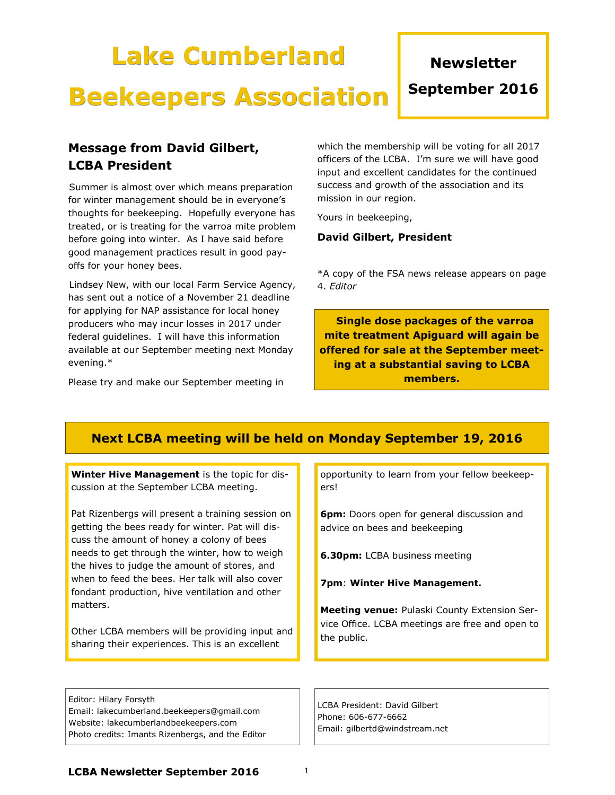#### Editor: Hilary Forsyth Email: lakecumberland.beekeepers@gmail.com

matters.

Website: lakecumberlandbeekeepers.com Photo credits: Imants Rizenbergs, and the Editor opportunity to learn from your fellow beekeepers!

**6pm:** Doors open for general discussion and advice on bees and beekeeping

**6.30pm:** LCBA business meeting

7pm: Winter Hive Management.

Meeting venue: Pulaski County Extension Service Office. LCBA meetings are free and open to the public.

LCBA President: David Gilbert Phone: 606-677-6662 Email: gilbertd@windstream.net

#### LCBA Newsletter September 2016  $1$

# Message from David Gilbert, LCBA President

Summer is almost over which means preparation for winter management should be in everyone's thoughts for beekeeping. Hopefully everyone has treated, or is treating for the varroa mite problem before going into winter. As I have said before good management practices result in good payoffs for your honey bees.

 Lindsey New, with our local Farm Service Agency, has sent out a notice of a November 21 deadline for applying for NAP assistance for local honey producers who may incur losses in 2017 under federal guidelines. I will have this information available at our September meeting next Monday evening.\*

Please try and make our September meeting in

Winter Hive Management is the topic for dis-

Pat Rizenbergs will present a training session on getting the bees ready for winter. Pat will discuss the amount of honey a colony of bees needs to get through the winter, how to weigh the hives to judge the amount of stores, and when to feed the bees. Her talk will also cover fondant production, hive ventilation and other

Other LCBA members will be providing input and sharing their experiences. This is an excellent

cussion at the September LCBA meeting.

which the membership will be voting for all 2017 officers of the LCBA. I'm sure we will have good input and excellent candidates for the continued success and growth of the association and its mission in our region.

Yours in beekeeping,

Next LCBA meeting will be held on Monday September 19, 2016

## David Gilbert, President

\*A copy of the FSA news release appears on page 4. Editor

 Single dose packages of the varroa mite treatment Apiguard will again be offered for sale at the September meeting at a substantial saving to LCBA members.

# Lake Cumberland

Beekeepers Association

**Newsletter** 

September 2016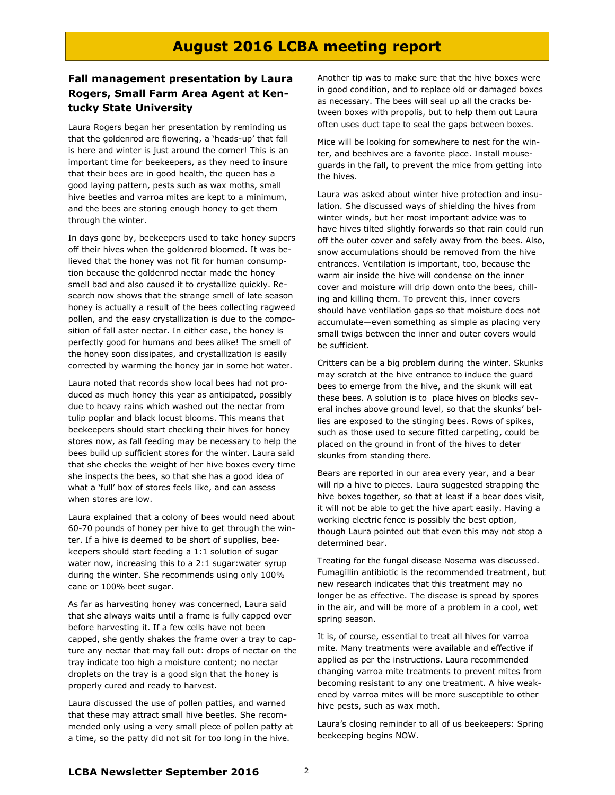## August 2016 LCBA meeting report

## Fall management presentation by Laura Rogers, Small Farm Area Agent at Kentucky State University

Laura Rogers began her presentation by reminding us that the goldenrod are flowering, a 'heads-up' that fall is here and winter is just around the corner! This is an important time for beekeepers, as they need to insure that their bees are in good health, the queen has a good laying pattern, pests such as wax moths, small hive beetles and varroa mites are kept to a minimum, and the bees are storing enough honey to get them through the winter.

In days gone by, beekeepers used to take honey supers off their hives when the goldenrod bloomed. It was believed that the honey was not fit for human consumption because the goldenrod nectar made the honey smell bad and also caused it to crystallize quickly. Research now shows that the strange smell of late season honey is actually a result of the bees collecting ragweed pollen, and the easy crystallization is due to the composition of fall aster nectar. In either case, the honey is perfectly good for humans and bees alike! The smell of the honey soon dissipates, and crystallization is easily corrected by warming the honey jar in some hot water.

Laura noted that records show local bees had not produced as much honey this year as anticipated, possibly due to heavy rains which washed out the nectar from tulip poplar and black locust blooms. This means that beekeepers should start checking their hives for honey stores now, as fall feeding may be necessary to help the bees build up sufficient stores for the winter. Laura said that she checks the weight of her hive boxes every time she inspects the bees, so that she has a good idea of what a 'full' box of stores feels like, and can assess when stores are low.

Laura explained that a colony of bees would need about 60-70 pounds of honey per hive to get through the winter. If a hive is deemed to be short of supplies, beekeepers should start feeding a 1:1 solution of sugar water now, increasing this to a 2:1 sugar:water syrup during the winter. She recommends using only 100% cane or 100% beet sugar.

As far as harvesting honey was concerned, Laura said that she always waits until a frame is fully capped over before harvesting it. If a few cells have not been capped, she gently shakes the frame over a tray to capture any nectar that may fall out: drops of nectar on the tray indicate too high a moisture content; no nectar droplets on the tray is a good sign that the honey is properly cured and ready to harvest.

Laura discussed the use of pollen patties, and warned that these may attract small hive beetles. She recommended only using a very small piece of pollen patty at a time, so the patty did not sit for too long in the hive.

Another tip was to make sure that the hive boxes were in good condition, and to replace old or damaged boxes as necessary. The bees will seal up all the cracks between boxes with propolis, but to help them out Laura often uses duct tape to seal the gaps between boxes.

Mice will be looking for somewhere to nest for the winter, and beehives are a favorite place. Install mouseguards in the fall, to prevent the mice from getting into the hives.

Laura was asked about winter hive protection and insulation. She discussed ways of shielding the hives from winter winds, but her most important advice was to have hives tilted slightly forwards so that rain could run off the outer cover and safely away from the bees. Also, snow accumulations should be removed from the hive entrances. Ventilation is important, too, because the warm air inside the hive will condense on the inner cover and moisture will drip down onto the bees, chilling and killing them. To prevent this, inner covers should have ventilation gaps so that moisture does not accumulate—even something as simple as placing very small twigs between the inner and outer covers would be sufficient.

Critters can be a big problem during the winter. Skunks may scratch at the hive entrance to induce the guard bees to emerge from the hive, and the skunk will eat these bees. A solution is to place hives on blocks several inches above ground level, so that the skunks' bellies are exposed to the stinging bees. Rows of spikes, such as those used to secure fitted carpeting, could be placed on the ground in front of the hives to deter skunks from standing there.

Bears are reported in our area every year, and a bear will rip a hive to pieces. Laura suggested strapping the hive boxes together, so that at least if a bear does visit, it will not be able to get the hive apart easily. Having a working electric fence is possibly the best option, though Laura pointed out that even this may not stop a determined bear.

Treating for the fungal disease Nosema was discussed. Fumagillin antibiotic is the recommended treatment, but new research indicates that this treatment may no longer be as effective. The disease is spread by spores in the air, and will be more of a problem in a cool, wet spring season.

It is, of course, essential to treat all hives for varroa mite. Many treatments were available and effective if applied as per the instructions. Laura recommended changing varroa mite treatments to prevent mites from becoming resistant to any one treatment. A hive weakened by varroa mites will be more susceptible to other hive pests, such as wax moth.

Laura's closing reminder to all of us beekeepers: Spring beekeeping begins NOW.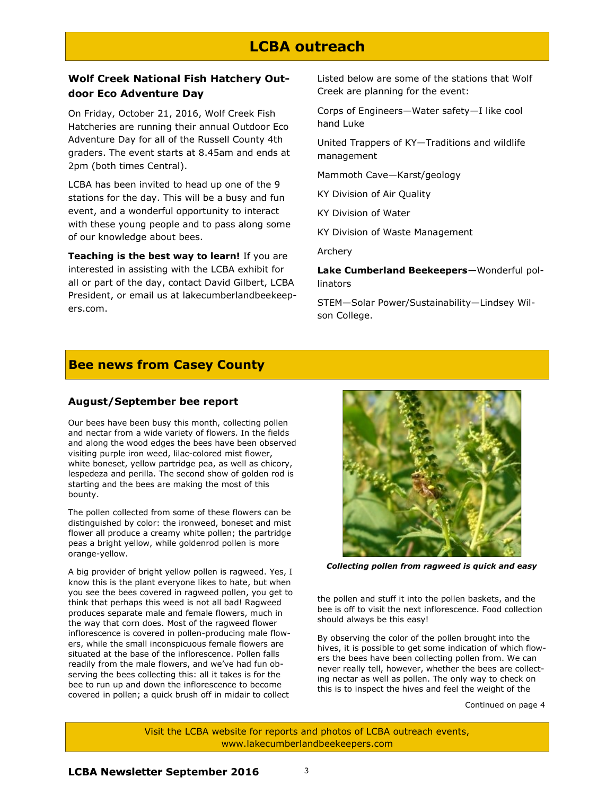## LCBA outreach

### Wolf Creek National Fish Hatchery Outdoor Eco Adventure Day

On Friday, October 21, 2016, Wolf Creek Fish Hatcheries are running their annual Outdoor Eco Adventure Day for all of the Russell County 4th graders. The event starts at 8.45am and ends at 2pm (both times Central).

LCBA has been invited to head up one of the 9 stations for the day. This will be a busy and fun event, and a wonderful opportunity to interact with these young people and to pass along some of our knowledge about bees.

Teaching is the best way to learn! If you are interested in assisting with the LCBA exhibit for all or part of the day, contact David Gilbert, LCBA President, or email us at lakecumberlandbeekeepers.com.

Listed below are some of the stations that Wolf Creek are planning for the event:

Corps of Engineers—Water safety—I like cool hand Luke

United Trappers of KY—Traditions and wildlife management

Mammoth Cave—Karst/geology

KY Division of Air Quality

KY Division of Water

KY Division of Waste Management

Archery

Lake Cumberland Beekeepers—Wonderful pollinators

STEM—Solar Power/Sustainability—Lindsey Wilson College.

## Bee news from Casey County

#### August/September bee report

Our bees have been busy this month, collecting pollen and nectar from a wide variety of flowers. In the fields and along the wood edges the bees have been observed visiting purple iron weed, lilac-colored mist flower, white boneset, yellow partridge pea, as well as chicory, lespedeza and perilla. The second show of golden rod is starting and the bees are making the most of this bounty.

The pollen collected from some of these flowers can be distinguished by color: the ironweed, boneset and mist flower all produce a creamy white pollen; the partridge peas a bright yellow, while goldenrod pollen is more orange-yellow.

A big provider of bright yellow pollen is ragweed. Yes, I know this is the plant everyone likes to hate, but when you see the bees covered in ragweed pollen, you get to think that perhaps this weed is not all bad! Ragweed produces separate male and female flowers, much in the way that corn does. Most of the ragweed flower inflorescence is covered in pollen-producing male flowers, while the small inconspicuous female flowers are situated at the base of the inflorescence. Pollen falls readily from the male flowers, and we've had fun observing the bees collecting this: all it takes is for the bee to run up and down the inflorescence to become covered in pollen; a quick brush off in midair to collect



Collecting pollen from ragweed is quick and easy

the pollen and stuff it into the pollen baskets, and the bee is off to visit the next inflorescence. Food collection should always be this easy!

By observing the color of the pollen brought into the hives, it is possible to get some indication of which flowers the bees have been collecting pollen from. We can never really tell, however, whether the bees are collecting nectar as well as pollen. The only way to check on this is to inspect the hives and feel the weight of the

Continued on page 4

Visit the LCBA website for reports and photos of LCBA outreach events, www.lakecumberlandbeekeepers.com

LCBA Newsletter September 2016 3